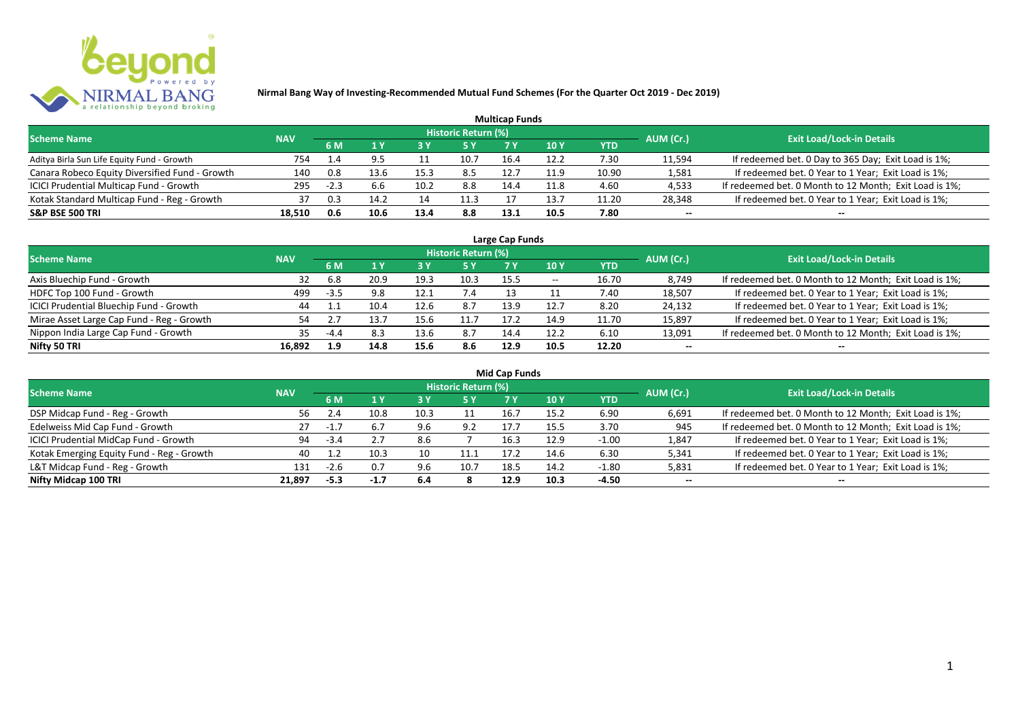

| <b>Multicap Funds</b>                          |            |        |      |      |                     |      |      |            |           |                                                        |  |  |  |  |
|------------------------------------------------|------------|--------|------|------|---------------------|------|------|------------|-----------|--------------------------------------------------------|--|--|--|--|
| <b>Scheme Name</b>                             | <b>NAV</b> |        |      |      | Historic Return (%) |      |      |            | AUM (Cr.) | <b>Exit Load/Lock-in Details</b>                       |  |  |  |  |
|                                                |            | 6 M    |      |      |                     | 7 V  | 10 Y | <b>YTD</b> |           |                                                        |  |  |  |  |
| Aditya Birla Sun Life Equity Fund - Growth     | 754        | 1.4    |      |      | 10.7                | 16.4 | 12.2 | 7.30       | 11,594    | If redeemed bet. 0 Day to 365 Day; Exit Load is 1%;    |  |  |  |  |
| Canara Robeco Equity Diversified Fund - Growth | 140        | 0.8    | 13.6 | 15.3 | 8.5                 | 12.7 | 11.9 | 10.90      | 1,581     | If redeemed bet. 0 Year to 1 Year; Exit Load is 1%;    |  |  |  |  |
| ICICI Prudential Multicap Fund - Growth        | 295        | $-2.3$ |      | 10.2 | 8.8                 | 14.4 | 11.8 | 4.60       | 4,533     | If redeemed bet. 0 Month to 12 Month; Exit Load is 1%; |  |  |  |  |
| Kotak Standard Multicap Fund - Reg - Growth    | 37         | 0.3    | 14.7 | 14   | 11.3                |      | 13.  | 11.20      | 28,348    | If redeemed bet. 0 Year to 1 Year; Exit Load is 1%;    |  |  |  |  |
| <b>S&amp;P BSE 500 TRI</b>                     | 18,510     | 0.6    | 10.6 | 13.4 | 8.8                 | 13.1 | 10.5 | 7.80       | $- -$     | $- -$                                                  |  |  |  |  |

| Large Cap Funds                           |            |        |      |      |                            |      |            |       |           |                                                        |  |  |  |
|-------------------------------------------|------------|--------|------|------|----------------------------|------|------------|-------|-----------|--------------------------------------------------------|--|--|--|
| <b>Scheme Name</b>                        | <b>NAV</b> |        |      |      | <b>Historic Return (%)</b> |      |            |       | AUM (Cr.) | <b>Exit Load/Lock-in Details</b>                       |  |  |  |
|                                           |            | 6 M    |      |      | 5 Y                        |      | <b>10Y</b> | YTD   |           |                                                        |  |  |  |
| Axis Bluechip Fund - Growth               | 32         | 6.8    | 20.9 | 19.3 | 10.3                       | 15.5 | $- -$      | 16.70 | 8,749     | If redeemed bet. 0 Month to 12 Month; Exit Load is 1%; |  |  |  |
| HDFC Top 100 Fund - Growth                | 499        | $-3.5$ | 9.8  | 12.1 | 7.4                        |      |            | 7.40  | 18,507    | If redeemed bet. 0 Year to 1 Year; Exit Load is 1%;    |  |  |  |
| ICICI Prudential Bluechip Fund - Growth   | 44         |        | 10.4 | 12.6 | 8.7                        | 13.9 | 12.7       | 8.20  | 24,132    | If redeemed bet. 0 Year to 1 Year; Exit Load is 1%;    |  |  |  |
| Mirae Asset Large Cap Fund - Reg - Growth | 54         |        | 13.1 | 15.6 | 11.7                       | 17.7 | 14.9       | 11.70 | 15,897    | If redeemed bet. 0 Year to 1 Year; Exit Load is 1%;    |  |  |  |
| Nippon India Large Cap Fund - Growth      | 35.        | $-4.4$ | 8.3  | 13.6 | 8.7                        | 14.4 | 12.2       | 6.10  | 13,091    | If redeemed bet. 0 Month to 12 Month; Exit Load is 1%; |  |  |  |
| Nifty 50 TRI                              | 16.892     | 1.9    | 14.8 | 15.6 | 8.6                        | 12.9 | 10.5       | 12.20 | $- -$     | $- -$                                                  |  |  |  |

| <b>Mid Cap Funds</b>                      |            |        |        |      |                            |      |      |            |           |                                                        |  |  |  |
|-------------------------------------------|------------|--------|--------|------|----------------------------|------|------|------------|-----------|--------------------------------------------------------|--|--|--|
| <b>Scheme Name</b>                        | <b>NAV</b> |        |        |      | <b>Historic Return (%)</b> |      |      |            | AUM (Cr.) | <b>Exit Load/Lock-in Details</b>                       |  |  |  |
|                                           |            | 6 M    |        |      | 5 Y                        | 7 Y  | 10 Y | <b>YTD</b> |           |                                                        |  |  |  |
| DSP Midcap Fund - Reg - Growth            | 56.        |        | 10.8   | 10.3 | 11                         | 16.7 | 15.2 | 6.90       | 6,691     | If redeemed bet. 0 Month to 12 Month; Exit Load is 1%; |  |  |  |
| Edelweiss Mid Cap Fund - Growth           | 27         |        | 6.7    | 9.6  | 9.2                        | 17.7 | 15.5 | 3.70       | 945       | If redeemed bet. 0 Month to 12 Month; Exit Load is 1%; |  |  |  |
| ICICI Prudential MidCap Fund - Growth     | 94         | $-3.4$ | 2.7    | 8.6  |                            | 16.3 | 12.9 | $-1.00$    | 1,847     | If redeemed bet. 0 Year to 1 Year; Exit Load is 1%;    |  |  |  |
| Kotak Emerging Equity Fund - Reg - Growth | 40         |        | 10.3   |      | 11.1                       | 17.  | 14.6 | 6.30       | 5,341     | If redeemed bet. 0 Year to 1 Year; Exit Load is 1%;    |  |  |  |
| L&T Midcap Fund - Reg - Growth            | 131        | -2.b   | 0.7    | 9.6  | 10.7                       | 18.5 | 14.2 | $-1.80$    | 5,831     | If redeemed bet. 0 Year to 1 Year; Exit Load is 1%;    |  |  |  |
| Nifty Midcap 100 TRI                      | 21.897     | $-5.3$ | $-1.7$ | 6.4  |                            | 12.9 | 10.3 | -4.50      | $- -$     | $- -$                                                  |  |  |  |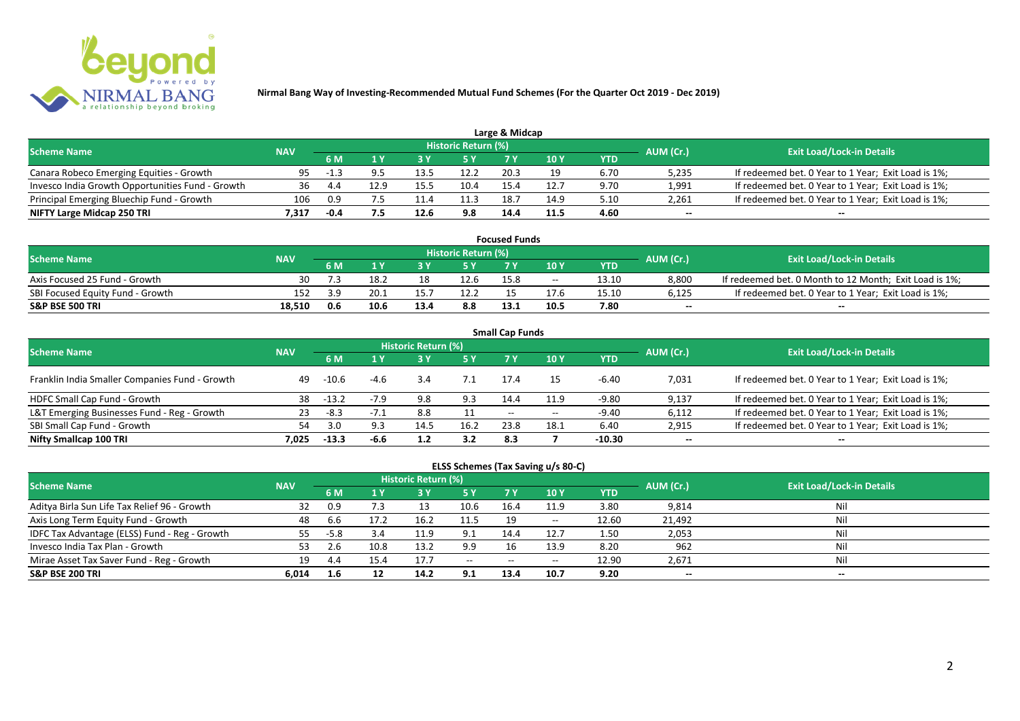

|                                                  |            |        |      |      |                            | Large & Midcap |               |      |           |                                                     |
|--------------------------------------------------|------------|--------|------|------|----------------------------|----------------|---------------|------|-----------|-----------------------------------------------------|
| <b>Scheme Name</b>                               | <b>NAV</b> |        |      |      | <b>Historic Return (%)</b> |                |               |      | AUM (Cr.) | <b>Exit Load/Lock-in Details</b>                    |
|                                                  |            | 6 M    |      |      | 5 Y                        |                | $\sqrt{10}$ Y | YTD  |           |                                                     |
| Canara Robeco Emerging Equities - Growth         | 95         | $-1.3$ |      |      | 12.2                       | 20.3           |               | 6.70 | 5,235     | If redeemed bet. 0 Year to 1 Year; Exit Load is 1%; |
| Invesco India Growth Opportunities Fund - Growth |            |        | 12.9 | 15.5 | 10.4                       | 15.4           | 12.7          | 9.70 | 1,991     | If redeemed bet. 0 Year to 1 Year; Exit Load is 1%; |
| Principal Emerging Bluechip Fund - Growth        | 106        | 0.9    |      |      | 11.3                       | 18.7           | 14.9          | 5.10 | 2,261     | If redeemed bet. 0 Year to 1 Year; Exit Load is 1%; |
| NIFTY Large Midcap 250 TRI                       | 7.317      | $-0.4$ |      | 12.6 | 9.8                        | 14.4           | 11.5          | 4.60 | $-$       | $- -$                                               |

| <b>Focused Funds</b>             |            |            |      |      |                     |      |       |       |           |                                                        |  |  |  |
|----------------------------------|------------|------------|------|------|---------------------|------|-------|-------|-----------|--------------------------------------------------------|--|--|--|
| <b>Scheme Name</b>               | <b>NAV</b> |            |      |      | Historic Return (%) |      |       |       | AUM (Cr.) | <b>Exit Load/Lock-in Details</b>                       |  |  |  |
|                                  |            | 6 M        |      |      | 5 Y                 |      |       | YTD   |           |                                                        |  |  |  |
| Axis Focused 25 Fund - Growth    | 30         |            | 18.2 | 18   | 12.6                | 15.8 | $- -$ | 13.10 | 8,800     | If redeemed bet. 0 Month to 12 Month; Exit Load is 1%; |  |  |  |
| SBI Focused Equity Fund - Growth | 152        | <b>2 Q</b> | 20.1 |      | 12.2                |      | 17.6  | 15.10 | 6,125     | If redeemed bet. 0 Year to 1 Year; Exit Load is 1%;    |  |  |  |
| <b>S&amp;P BSE 500 TRI</b>       | 18.510     | 0.6        | 10.6 | 13.4 | 8.8                 | 13.1 | 10.5  | 7.80  | $-$       | $- -$                                                  |  |  |  |

| <b>Small Cap Funds</b>                         |            |         |        |                            |      |                          |       |            |           |                                                     |  |  |  |
|------------------------------------------------|------------|---------|--------|----------------------------|------|--------------------------|-------|------------|-----------|-----------------------------------------------------|--|--|--|
| Scheme Name                                    | <b>NAV</b> |         |        | <b>Historic Return (%)</b> |      |                          |       |            | AUM (Cr.) | <b>Exit Load/Lock-in Details</b>                    |  |  |  |
|                                                |            | 6 M     |        |                            | 5 Y  | 7V                       | 10Y   | <b>YTD</b> |           |                                                     |  |  |  |
| Franklin India Smaller Companies Fund - Growth | 49         | -10.6   | $-4.6$ | 3.4                        | 7.1  | 17.4                     | 15    | $-6.40$    | 7,031     | If redeemed bet. 0 Year to 1 Year; Exit Load is 1%; |  |  |  |
| HDFC Small Cap Fund - Growth                   | 38         | $-13.2$ | $-7.9$ | 9.8                        | 9.3  | 14.4                     | 11.9  | -9.80      | 9,137     | If redeemed bet. 0 Year to 1 Year; Exit Load is 1%; |  |  |  |
| L&T Emerging Businesses Fund - Reg - Growth    | 23         | $-8.3$  | $-7.1$ | 8.8                        | 11   | $\overline{\phantom{a}}$ | $- -$ | -9.40      | 6,112     | If redeemed bet. 0 Year to 1 Year; Exit Load is 1%; |  |  |  |
| SBI Small Cap Fund - Growth                    |            | 3.0     | 9.3    | 14.5                       | 16.2 | 23.8                     | 18.1  | 6.40       | 2,915     | If redeemed bet. 0 Year to 1 Year; Exit Load is 1%; |  |  |  |
| Nifty Smallcap 100 TRI                         | 7.025      | $-13.3$ | -6.6   |                            | 3.2  | 8.3                      |       | $-10.30$   | $- -$     | $- -$                                               |  |  |  |

## **ELSS Schemes (Tax Saving u/s 80-C)**

| <b>Scheme Name</b>                            | <b>NAV</b> |      |      | Historic Return (%) |              |      |       |       | AUM (Cr.) | <b>Exit Load/Lock-in Details</b> |
|-----------------------------------------------|------------|------|------|---------------------|--------------|------|-------|-------|-----------|----------------------------------|
|                                               |            | 6 M  |      |                     | <b>5Y</b>    | 7 Y  | 10 Y  | YTD   |           |                                  |
| Aditya Birla Sun Life Tax Relief 96 - Growth  | 32         | 0.9  |      |                     | 10.6         | 16.4 | 11.9  | 3.80  | 9,814     | Nil                              |
| Axis Long Term Equity Fund - Growth           | 48         | b.b  | 17.2 | 16.2                | 11.5         | 19   | $- -$ | 12.60 | 21,492    | Nil                              |
| IDFC Tax Advantage (ELSS) Fund - Reg - Growth | 55         | -5.8 | 3.4  | 11.9                | 9.1          | 14.4 | 12.7  | 1.50  | 2,053     | Nil                              |
| Invesco India Tax Plan - Growth               |            |      | 10.8 | 13.2                | 9.9          |      | 13.9  | 8.20  | 962       | Nil                              |
| Mirae Asset Tax Saver Fund - Reg - Growth     | 19         | 4.4  | 15.4 | 17.7                | $-$ – $\sim$ | $-$  | $- -$ | 12.90 | 2,671     | Nil                              |
| <b>S&amp;P BSE 200 TRI</b>                    | 6,014      | 1.6  |      | 14.2                | 9.1          | 13.4 | 10.7  | 9.20  | $- -$     | $- -$                            |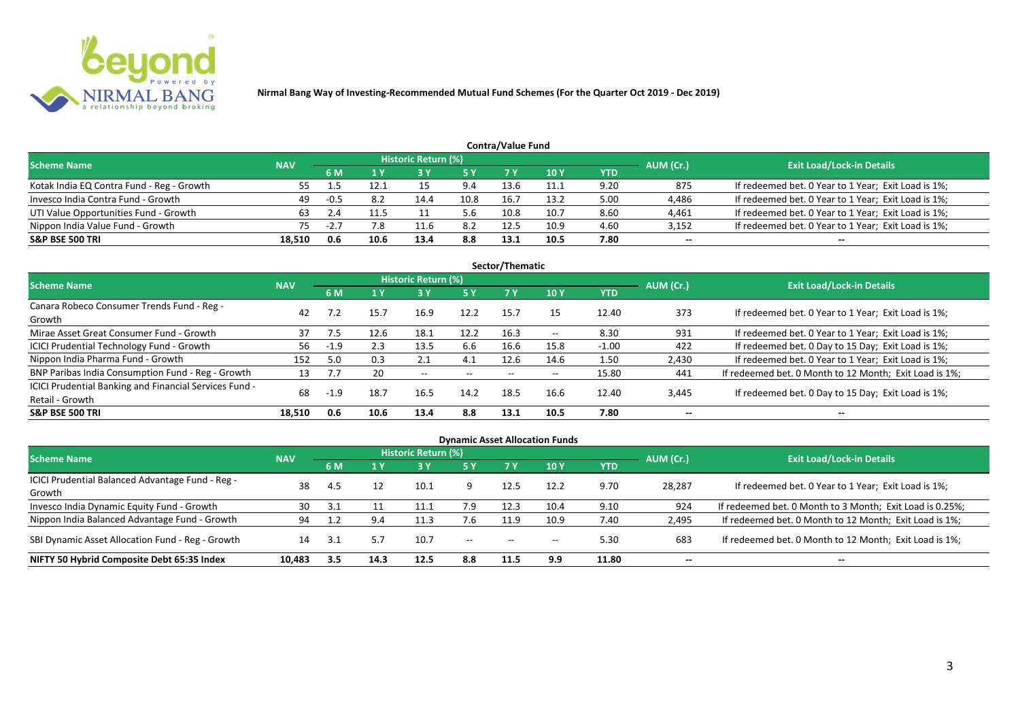

|                                           | Contra/Value Fund |        |      |                            |            |      |            |      |           |                                                     |  |  |  |  |
|-------------------------------------------|-------------------|--------|------|----------------------------|------------|------|------------|------|-----------|-----------------------------------------------------|--|--|--|--|
| <b>Scheme Name</b>                        | <b>NAV</b>        |        |      | <b>Historic Return (%)</b> |            |      |            |      | AUM (Cr.) | <b>Exit Load/Lock-in Details</b>                    |  |  |  |  |
|                                           |                   | 6 M    |      |                            | <b>5 Y</b> | 7 V  | <b>10Y</b> | YTD  |           |                                                     |  |  |  |  |
| Kotak India EQ Contra Fund - Reg - Growth |                   |        |      |                            | 9.4        | 13.6 | 11.1       | 9.20 | 875       | If redeemed bet. 0 Year to 1 Year; Exit Load is 1%; |  |  |  |  |
| Invesco India Contra Fund - Growth        | 49                | $-0.5$ | 8.2  | 14.4                       | 10.8       | 16.7 | 13.2       | 5.00 | 4,486     | If redeemed bet. 0 Year to 1 Year; Exit Load is 1%; |  |  |  |  |
| UTI Value Opportunities Fund - Growth     | 63                |        |      |                            | 5.6        | 10.8 | 10.7       | 8.60 | 4,461     | If redeemed bet. 0 Year to 1 Year; Exit Load is 1%; |  |  |  |  |
| Nippon India Value Fund - Growth          | 75.               | $-L.$  | 7.8  |                            | 8.2        | 12.5 | 10.9       | 4.60 | 3,152     | If redeemed bet. 0 Year to 1 Year; Exit Load is 1%; |  |  |  |  |
| <b>S&amp;P BSE 500 TRI</b>                | 18.510            | 0.6    | 10.6 | 13.4                       | 8.8        | 13.1 | 10.5       | 7.80 | $- -$     | $- -$                                               |  |  |  |  |

| Sector/Thematic                                                           |            |        |      |                            |           |      |       |            |           |                                                        |  |  |  |  |
|---------------------------------------------------------------------------|------------|--------|------|----------------------------|-----------|------|-------|------------|-----------|--------------------------------------------------------|--|--|--|--|
| Scheme Name                                                               | <b>NAV</b> |        |      | <b>Historic Return (%)</b> |           |      |       |            | AUM (Cr.) | <b>Exit Load/Lock-in Details</b>                       |  |  |  |  |
|                                                                           |            | 6 M    | 1Y   | 3 Y                        | <b>5Y</b> | 7 Y  | 10Y   | <b>YTD</b> |           |                                                        |  |  |  |  |
| Canara Robeco Consumer Trends Fund - Reg -<br>Growth                      | 42         |        | 15.7 | 16.9                       | 12.2      | 15.7 | 15    | 12.40      | 373       | If redeemed bet. 0 Year to 1 Year; Exit Load is 1%;    |  |  |  |  |
| Mirae Asset Great Consumer Fund - Growth                                  | 37         | 7.5    | 12.6 | 18.1                       | 12.2      | 16.3 | $- -$ | 8.30       | 931       | If redeemed bet. 0 Year to 1 Year; Exit Load is 1%;    |  |  |  |  |
| <b>ICICI Prudential Technology Fund - Growth</b>                          | 56         | $-1.9$ | 2.3  | 13.5                       | 6.6       | 16.6 | 15.8  | $-1.00$    | 422       | If redeemed bet. 0 Day to 15 Day; Exit Load is 1%;     |  |  |  |  |
| Nippon India Pharma Fund - Growth                                         | 152        | 5.0    | 0.3  | 2.1                        | 4.1       | 12.6 | 14.6  | 1.50       | 2,430     | If redeemed bet. 0 Year to 1 Year; Exit Load is 1%;    |  |  |  |  |
| BNP Paribas India Consumption Fund - Reg - Growth                         | 13         |        | 20   | $- -$                      | $- -$     | $-$  | $- -$ | 15.80      | 441       | If redeemed bet. 0 Month to 12 Month; Exit Load is 1%; |  |  |  |  |
| ICICI Prudential Banking and Financial Services Fund -<br>Retail - Growth | 68         | $-1.9$ | 18.7 | 16.5                       | 14.2      | 18.5 | 16.6  | 12.40      | 3,445     | If redeemed bet. 0 Day to 15 Day; Exit Load is 1%;     |  |  |  |  |
| <b>S&amp;P BSE 500 TRI</b>                                                | 18.510     | 0.6    | 10.6 | 13.4                       | 8.8       | 13.1 | 10.5  | 7.80       | --        | --                                                     |  |  |  |  |

| <b>Dynamic Asset Allocation Funds</b>                      |            |           |      |                            |         |                          |                          |            |           |                                                          |  |  |  |
|------------------------------------------------------------|------------|-----------|------|----------------------------|---------|--------------------------|--------------------------|------------|-----------|----------------------------------------------------------|--|--|--|
| Scheme Name                                                | <b>NAV</b> |           |      | <b>Historic Return (%)</b> |         |                          |                          |            |           | <b>Exit Load/Lock-in Details</b>                         |  |  |  |
|                                                            |            | <b>6M</b> | 1 Y  | 3 Y                        | 5 Y     | <b>7Y</b>                | <b>10Y</b>               | <b>YTD</b> | AUM (Cr.) |                                                          |  |  |  |
| ICICI Prudential Balanced Advantage Fund - Reg -<br>Growth | 38         | -4.5      | 12   | 10.1                       |         | 12.5                     | 12.2                     | 9.70       | 28,287    | If redeemed bet. 0 Year to 1 Year; Exit Load is 1%;      |  |  |  |
| Invesco India Dynamic Equity Fund - Growth                 | 30         |           |      |                            | 7.9     | 12.3                     | 10.4                     | 9.10       | 924       | If redeemed bet. 0 Month to 3 Month; Exit Load is 0.25%; |  |  |  |
| Nippon India Balanced Advantage Fund - Growth              | 94         |           | 9.4  | 11.3                       | 7.6     | 11.9                     | 10.9                     | 7.40       | 2,495     | If redeemed bet. 0 Month to 12 Month; Exit Load is 1%;   |  |  |  |
| SBI Dynamic Asset Allocation Fund - Reg - Growth           | 14         |           |      | 10.7                       | $-  \,$ | $\overline{\phantom{a}}$ | $\overline{\phantom{a}}$ | 5.30       | 683       | If redeemed bet. 0 Month to 12 Month; Exit Load is 1%;   |  |  |  |
| NIFTY 50 Hybrid Composite Debt 65:35 Index                 | 10,483     | 3.5       | 14.3 | 12.5                       | 8.8     | 11.5                     | 9.9                      | 11.80      | $- -$     | $- -$                                                    |  |  |  |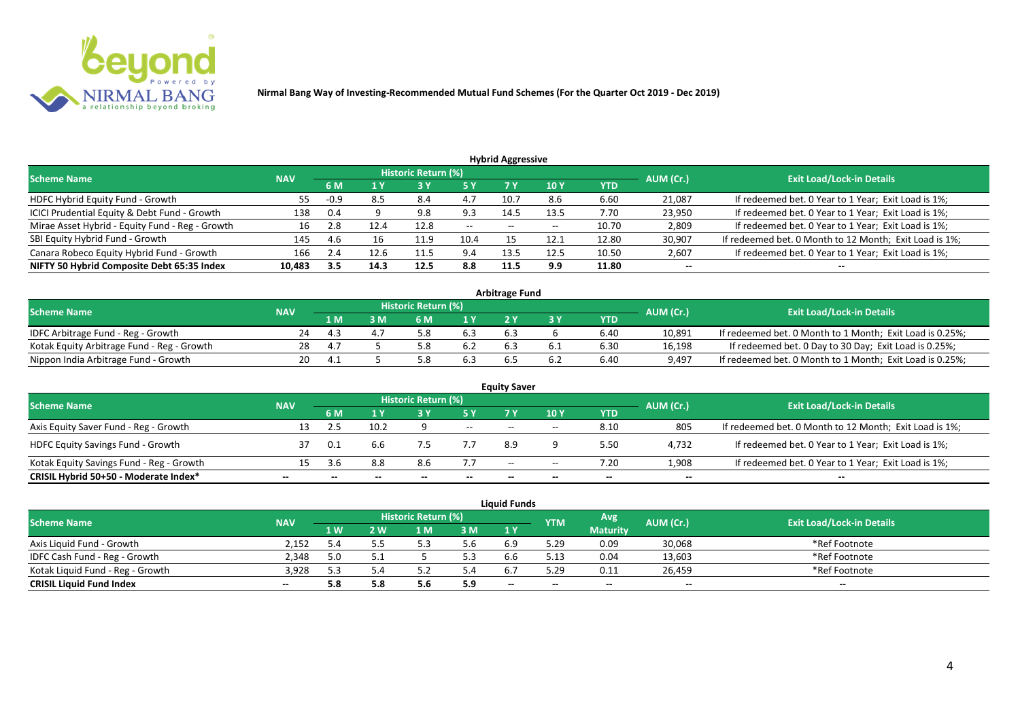

| <b>Hybrid Aggressive</b>                        |            |     |      |                            |       |                          |                 |            |           |                                                        |  |  |  |
|-------------------------------------------------|------------|-----|------|----------------------------|-------|--------------------------|-----------------|------------|-----------|--------------------------------------------------------|--|--|--|
| <b>Scheme Name</b>                              | <b>NAV</b> |     |      | <b>Historic Return (%)</b> |       |                          |                 |            | AUM (Cr.) | <b>Exit Load/Lock-in Details</b>                       |  |  |  |
|                                                 |            | 6 M | 1 Y  |                            | 5 Y   |                          | 10 <sub>1</sub> | <b>YTD</b> |           |                                                        |  |  |  |
| HDFC Hybrid Equity Fund - Growth                | 55         |     | 8.5  | 8.4                        |       | 10.7                     | 8.6             | 6.60       | 21,087    | If redeemed bet. 0 Year to 1 Year; Exit Load is 1%;    |  |  |  |
| ICICI Prudential Equity & Debt Fund - Growth    | 138        | 0.4 |      | 9.8                        | 9.3   | 14.5                     | 13.5            | 7.70       | 23,950    | If redeemed bet. 0 Year to 1 Year; Exit Load is 1%;    |  |  |  |
| Mirae Asset Hybrid - Equity Fund - Reg - Growth | 16         |     | 12.4 | 12.8                       | $- -$ | $\overline{\phantom{a}}$ | --              | 10.70      | 2,809     | If redeemed bet. 0 Year to 1 Year; Exit Load is 1%;    |  |  |  |
| SBI Equity Hybrid Fund - Growth                 | 145        | 4.6 | 16   | 11.9                       | 10.4  |                          | 12.1            | 12.80      | 30,907    | If redeemed bet. 0 Month to 12 Month; Exit Load is 1%; |  |  |  |
| Canara Robeco Equity Hybrid Fund - Growth       | 166        | 2.4 | 12.6 | 11.5                       | 9.4   | 13.5                     | 12.5            | 10.50      | 2,607     | If redeemed bet. 0 Year to 1 Year; Exit Load is 1%;    |  |  |  |
| NIFTY 50 Hybrid Composite Debt 65:35 Index      | 10.483     | 3.5 | 14.3 | 12.5                       | 8.8   | 11.5                     | 9.9             | 11.80      | $- -$     | $- -$                                                  |  |  |  |

| <b>Arbitrage Fund</b>                      |            |     |   |                            |     |     |  |            |           |                                                          |  |  |  |
|--------------------------------------------|------------|-----|---|----------------------------|-----|-----|--|------------|-----------|----------------------------------------------------------|--|--|--|
| <b>Scheme Name</b>                         | <b>NAV</b> |     |   | <b>Historic Return (%)</b> |     |     |  |            | AUM (Cr.) | <b>Exit Load/Lock-in Details</b>                         |  |  |  |
|                                            |            | 1 M | M | ና M                        | 1 V |     |  | <b>YTD</b> |           |                                                          |  |  |  |
| IDFC Arbitrage Fund - Reg - Growth         |            |     |   |                            | 6.3 | 6.3 |  | 6.40       | 10,891    | If redeemed bet. 0 Month to 1 Month; Exit Load is 0.25%; |  |  |  |
| Kotak Equity Arbitrage Fund - Reg - Growth | 28         |     |   |                            |     |     |  | 6.30       | 16,198    | If redeemed bet. 0 Day to 30 Day; Exit Load is 0.25%;    |  |  |  |
| Nippon India Arbitrage Fund - Growth       | 20.        |     |   |                            | 6.3 |     |  | 6.40       | 9,497     | If redeemed bet. 0 Month to 1 Month; Exit Load is 0.25%; |  |  |  |

|                                          |            |      |      |                     |     | <b>Equity Saver</b>      |       |            |           |                                                        |  |  |  |
|------------------------------------------|------------|------|------|---------------------|-----|--------------------------|-------|------------|-----------|--------------------------------------------------------|--|--|--|
| <b>Scheme Name</b>                       | <b>NAV</b> |      |      | Historic Return (%) |     |                          |       |            |           | <b>Exit Load/Lock-in Details</b>                       |  |  |  |
|                                          |            | 6 M  |      |                     |     |                          | 10Y   | <b>YTD</b> | AUM (Cr.) |                                                        |  |  |  |
| Axis Equity Saver Fund - Reg - Growth    |            |      | 10.2 |                     | $-$ | $- -$                    | $-$   | 8.10       | 805       | If redeemed bet. 0 Month to 12 Month; Exit Load is 1%; |  |  |  |
| <b>HDFC Equity Savings Fund - Growth</b> |            | -0.1 |      |                     |     | 8.9                      |       | 5.50       | 4,732     | If redeemed bet. 0 Year to 1 Year; Exit Load is 1%;    |  |  |  |
| Kotak Equity Savings Fund - Reg - Growth |            |      | 8.8  | 8.6                 | 7.7 | $\overline{\phantom{a}}$ | $- -$ | 7.20       | 1,908     | If redeemed bet. 0 Year to 1 Year; Exit Load is 1%;    |  |  |  |
| CRISIL Hybrid 50+50 - Moderate Index*    | --         |      |      | --                  | --  | --                       | $- -$ |            | $- -$     | $- -$                                                  |  |  |  |

| <b>Liquid Funds</b>              |       |                                                                     |     |     |                                  |     |      |                 |        |               |  |  |  |
|----------------------------------|-------|---------------------------------------------------------------------|-----|-----|----------------------------------|-----|------|-----------------|--------|---------------|--|--|--|
| <b>Scheme Name</b>               |       | Historic Return (%)<br>Avg<br>AUM (Cr.)<br><b>NAV</b><br><b>YTM</b> |     |     | <b>Exit Load/Lock-in Details</b> |     |      |                 |        |               |  |  |  |
|                                  |       | $4 \,$ W $\prime$                                                   | 2 W | 1 M | 3M                               | 1 Y |      | <b>Maturity</b> |        |               |  |  |  |
| Axis Liquid Fund - Growth        | 2.152 | 5.4                                                                 |     |     | J.b                              |     | 5.29 | 0.09            | 30,068 | *Ref Footnote |  |  |  |
| IDFC Cash Fund - Reg - Growth    | 2.348 |                                                                     |     |     | 5.3                              |     | 5.13 | 0.04            | 13,603 | *Ref Footnote |  |  |  |
| Kotak Liquid Fund - Reg - Growth | 3.928 | 53                                                                  |     |     | 5.4                              |     | 5.29 | 0.11            | 26.459 | *Ref Footnote |  |  |  |
| <b>CRISIL Liquid Fund Index</b>  | $- -$ | 5.8                                                                 |     | J.U | 5.9                              | $-$ | --   | $- -$           | $- -$  | $- -$         |  |  |  |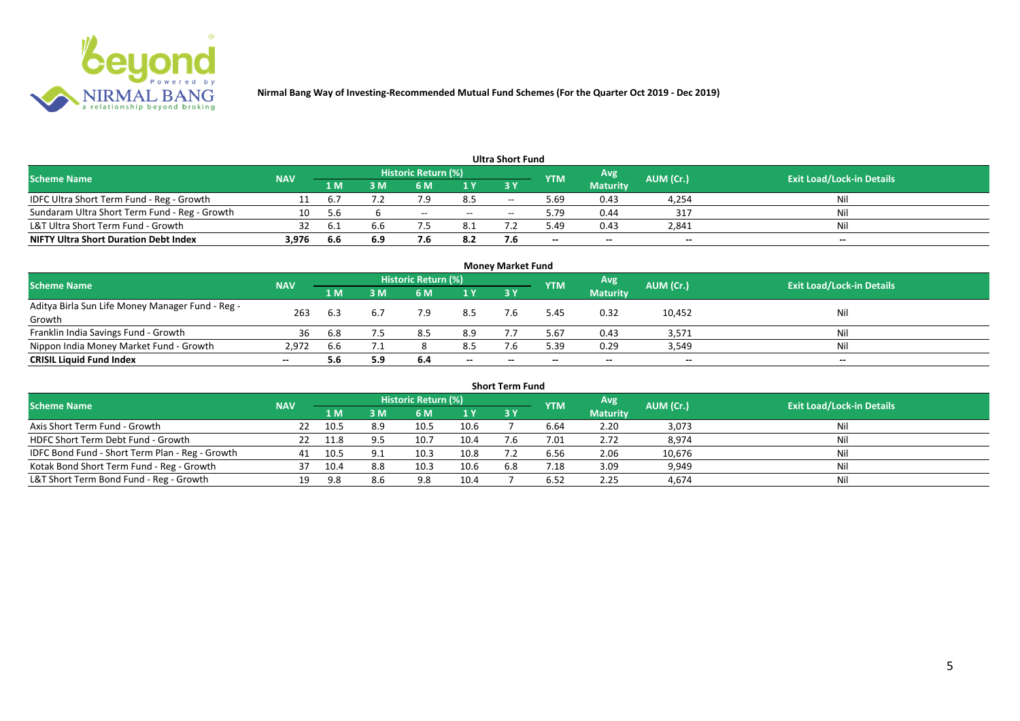

| <b>Ultra Short Fund</b>                       |            |         |     |                     |       |           |            |                 |           |                                  |  |  |  |  |
|-----------------------------------------------|------------|---------|-----|---------------------|-------|-----------|------------|-----------------|-----------|----------------------------------|--|--|--|--|
| <b>Scheme Name</b>                            | <b>NAV</b> |         |     | Historic Return (%) |       |           | <b>YTM</b> | Avg             | AUM (Cr.) | <b>Exit Load/Lock-in Details</b> |  |  |  |  |
|                                               |            | 1 M     | ۱M  | 6 M                 | 1 Y   | <b>3Y</b> |            | <b>Maturity</b> |           |                                  |  |  |  |  |
| IDFC Ultra Short Term Fund - Reg - Growth     |            | $b_{1}$ |     |                     | 8.5   | $- -$     | 69.د       | 0.43            | 4,254     | Nil                              |  |  |  |  |
| Sundaram Ultra Short Term Fund - Reg - Growth | 10         | .5.b    |     | $- -$               | $- -$ | $-$       | 9.79       | 0.44            | -317      | Nil                              |  |  |  |  |
| L&T Ultra Short Term Fund - Growth            | 32         | -6.1    | 6.6 |                     | 8.1   |           | 49.د       | 0.43            | 2,841     | Nil                              |  |  |  |  |
| <b>NIFTY Ultra Short Duration Debt Index</b>  | 3,976      | 6.6     | 6.9 |                     | 8.2   |           | $- -$      | $- -$           | $- -$     | $- -$                            |  |  |  |  |

| <b>Money Market Fund</b>                                   |            |     |     |                     |       |           |            |                 |           |                                  |  |  |  |
|------------------------------------------------------------|------------|-----|-----|---------------------|-------|-----------|------------|-----------------|-----------|----------------------------------|--|--|--|
| <b>Scheme Name</b>                                         | <b>NAV</b> |     |     | Historic Return (%) |       |           | <b>YTM</b> | Avg             | AUM (Cr.) | <b>Exit Load/Lock-in Details</b> |  |  |  |
|                                                            |            | 1 M | 3 M | 6 M                 | 1Y    | <b>3Y</b> |            | <b>Maturity</b> |           |                                  |  |  |  |
| Aditya Birla Sun Life Money Manager Fund - Reg -<br>Growth | 263        | 6.3 | 6.7 | 7.9                 | 8.5   |           | 5.45       | 0.32            | 10,452    | Nil                              |  |  |  |
| Franklin India Savings Fund - Growth                       | 36         | 6.8 |     | 8.5                 | 8.9   |           | 5.67       | 0.43            | 3,571     | Nil                              |  |  |  |
| Nippon India Money Market Fund - Growth                    | 2,972      | 6.6 |     |                     | 8.5   |           | 5.39       | 0.29            | 3,549     | Nil                              |  |  |  |
| <b>CRISIL Liquid Fund Index</b>                            | $- -$      | 5.6 | 5.9 | 6.4                 | $- -$ | $- -$     | $- -$      | $- -$           | $- -$     | $- -$                            |  |  |  |

| <b>Short Term Fund</b>                          |            |      |     |                            |      |           |            |                 |           |                                  |  |  |  |
|-------------------------------------------------|------------|------|-----|----------------------------|------|-----------|------------|-----------------|-----------|----------------------------------|--|--|--|
| <b>Scheme Name</b>                              | <b>NAV</b> |      |     | <b>Historic Return (%)</b> |      |           | <b>YTM</b> | Avg             | AUM (Cr.) | <b>Exit Load/Lock-in Details</b> |  |  |  |
|                                                 |            | 1 M  | 3 M | 6 M                        | 1Y   | <b>3Y</b> |            | <b>Maturity</b> |           |                                  |  |  |  |
| Axis Short Term Fund - Growth                   | 22         | 10.5 | 8.9 | 10.5                       | 10.6 |           | 6.64       | 2.20            | 3,073     | Nil                              |  |  |  |
| HDFC Short Term Debt Fund - Growth              | 22         | 11.8 |     | 10.7                       | 10.4 |           | 7.01       | 2.72            | 8,974     | Nil                              |  |  |  |
| IDFC Bond Fund - Short Term Plan - Reg - Growth | 41         | 10.5 |     | 10.3                       | 10.8 |           | 6.56       | 2.06            | 10,676    | Nil                              |  |  |  |
| Kotak Bond Short Term Fund - Reg - Growth       |            |      | 8.8 | 10.3                       | 10.6 | 6.8       | 1.18       | 3.09            | 9,949     | Nil                              |  |  |  |
| L&T Short Term Bond Fund - Reg - Growth         | 19         | 9.8  | 8.6 | 9.8                        | 10.4 |           | 6.52       | 2.25            | 4,674     | Nil                              |  |  |  |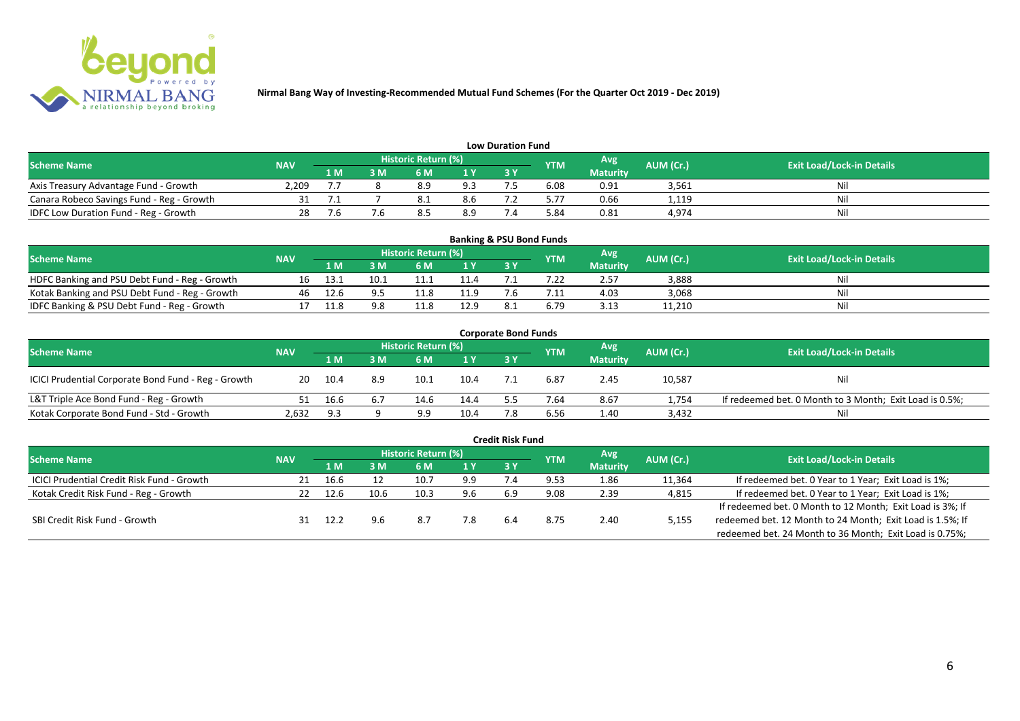

| <b>Low Duration Fund</b>                  |            |     |     |                            |                |    |            |                 |           |                                  |  |  |  |  |
|-------------------------------------------|------------|-----|-----|----------------------------|----------------|----|------------|-----------------|-----------|----------------------------------|--|--|--|--|
| <b>Scheme Name</b>                        | <b>NAV</b> |     |     | <b>Historic Return (%)</b> |                |    | <b>YTM</b> | Avg             | AUM (Cr.) | <b>Exit Load/Lock-in Details</b> |  |  |  |  |
|                                           |            | 1 M | 3 M |                            | 1 <sub>Y</sub> | 3Y |            | <b>Maturity</b> |           |                                  |  |  |  |  |
| Axis Treasury Advantage Fund - Growth     | 2.209      |     |     | 8.9                        | 9.3            |    | 6.08       | 0.91            | 3,561     | Ni                               |  |  |  |  |
| Canara Robeco Savings Fund - Reg - Growth |            |     |     | 0.1                        | 8.6            |    | 5.77       | 0.66            | 1,119     | Nil                              |  |  |  |  |
| IDFC Low Duration Fund - Reg - Growth     |            |     |     |                            | 8.9            |    | 5.84       | 0.81            | 4,974     | Nil                              |  |  |  |  |

| <b>Banking &amp; PSU Bond Funds</b>            |            |      |      |                            |      |           |            |                 |           |                                  |  |  |  |
|------------------------------------------------|------------|------|------|----------------------------|------|-----------|------------|-----------------|-----------|----------------------------------|--|--|--|
| <b>Scheme Name</b>                             | <b>NAV</b> |      |      | <b>Historic Return (%)</b> |      |           | <b>YTM</b> | Avg             | AUM (Cr.) | <b>Exit Load/Lock-in Details</b> |  |  |  |
|                                                |            | 1 M  |      | 6 M                        |      | <b>3Y</b> |            | <b>Maturity</b> |           |                                  |  |  |  |
| HDFC Banking and PSU Debt Fund - Reg - Growth  | 16         | ذ.13 | 10.1 |                            | 11.4 |           |            | 2.57            | 3,888     | Nil                              |  |  |  |
| Kotak Banking and PSU Debt Fund - Reg - Growth | 46         | 12.6 |      |                            | 11.9 |           |            | 4.03            | 3,068     | Nil                              |  |  |  |
| IDFC Banking & PSU Debt Fund - Reg - Growth    |            | 11.8 | 9.8  |                            | 12.9 |           | 6.79       | 3.13            | 11,210    | Nil                              |  |  |  |

| <b>Corporate Bond Funds</b>                         |            |      |     |                            |      |     |            |                 |           |                                                         |  |  |  |
|-----------------------------------------------------|------------|------|-----|----------------------------|------|-----|------------|-----------------|-----------|---------------------------------------------------------|--|--|--|
| <b>Scheme Name</b>                                  | <b>NAV</b> |      |     | <b>Historic Return (%)</b> |      |     | <b>YTM</b> | Avg             | AUM (Cr.) | <b>Exit Load/Lock-in Details</b>                        |  |  |  |
|                                                     |            | 1 M  | : M | 6 M                        | 1Y   | 3 Y |            | <b>Maturity</b> |           |                                                         |  |  |  |
| ICICI Prudential Corporate Bond Fund - Reg - Growth | 20         | 10.4 | 8.9 | 10.1                       | 10.4 |     | 6.87       | 2.45            | 10,587    | <b>Nil</b>                                              |  |  |  |
| L&T Triple Ace Bond Fund - Reg - Growth             |            | 16.6 | 6.7 | 14.6                       | 14.4 |     | 7.64       | 8.67            | 1,754     | If redeemed bet. 0 Month to 3 Month; Exit Load is 0.5%; |  |  |  |
| Kotak Corporate Bond Fund - Std - Growth            | 2,632      | 9.3  |     |                            | 10.4 |     | 6.56       | 1.40            | 3,432     | Nil                                                     |  |  |  |

|                                                   |            |      |      |                     |     | <b>Credit Risk Fund</b> |            |                 |           |                                                           |
|---------------------------------------------------|------------|------|------|---------------------|-----|-------------------------|------------|-----------------|-----------|-----------------------------------------------------------|
| <b>Scheme Name</b>                                | <b>NAV</b> |      |      | Historic Return (%) |     |                         | <b>YTM</b> | Avg             | AUM (Cr.) | <b>Exit Load/Lock-in Details</b>                          |
|                                                   |            | 1 M  | ١M   | 6 M                 | 1 Y | 3Y                      |            | <b>Maturity</b> |           |                                                           |
| <b>ICICI Prudential Credit Risk Fund - Growth</b> | 21         | 16.6 |      | 10.7                | 9.9 |                         | 9.53       | 1.86            | 11,364    | If redeemed bet. 0 Year to 1 Year; Exit Load is 1%;       |
| Kotak Credit Risk Fund - Reg - Growth             |            | 12.6 | 10.6 | 10.3                | 9.6 | 6.9                     | 9.08       | 2.39            | 4,815     | If redeemed bet. 0 Year to 1 Year; Exit Load is 1%;       |
|                                                   |            |      |      |                     |     |                         |            |                 |           | If redeemed bet. 0 Month to 12 Month; Exit Load is 3%; If |
| SBI Credit Risk Fund - Growth                     |            | 12.2 | 9.6  | 8.7                 | 7.8 | 6.4                     | 8.75       | 2.40            | 5,155     | redeemed bet. 12 Month to 24 Month; Exit Load is 1.5%; If |
|                                                   |            |      |      |                     |     |                         |            |                 |           | redeemed bet. 24 Month to 36 Month; Exit Load is 0.75%;   |